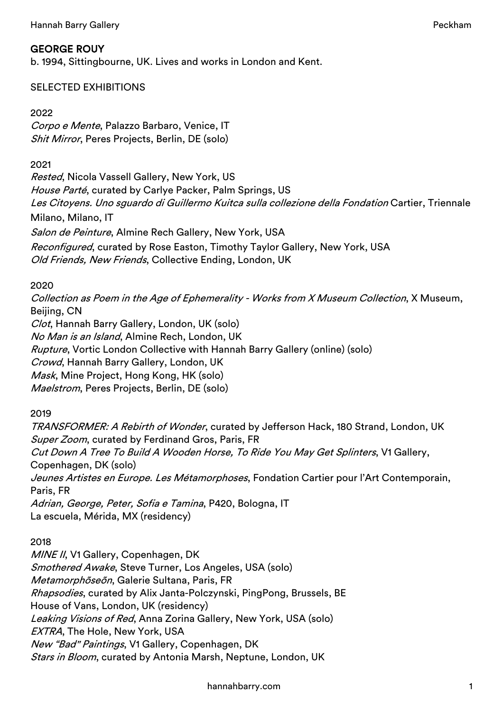# GEORGE ROUY

b. 1994, Sittingbourne, UK. Lives and works in London and Kent.

## SELECTED EXHIBITIONS

#### 2022

Corpo e Mente, Palazzo Barbaro, Venice, IT Shit Mirror, Peres Projects, Berlin, DE (solo)

#### 2021

Rested, Nicola Vassell Gallery, New York, US House Parté, curated by Carlye Packer, Palm Springs, US Les Citoyens. Uno sguardo di Guillermo Kuitca sulla collezione della Fondation Cartier, Triennale Milano, Milano, IT Salon de Peinture, Almine Rech Gallery, New York, USA Reconfigured, curated by Rose Easton, Timothy Taylor Gallery, New York, USA Old Friends, New Friends, Collective Ending, London, UK

## 2020

Collection as Poem in the Age of Ephemerality - Works from X Museum Collection, X Museum, Beijing, CN Clot, Hannah Barry Gallery, London, UK (solo) No Man is an Island, Almine Rech, London, UK Rupture, Vortic London Collective with Hannah Barry Gallery (online) (solo) Crowd, Hannah Barry Gallery, London, UK Mask, Mine Project, Hong Kong, HK (solo) Maelstrom, Peres Projects, Berlin, DE (solo)

2019

TRANSFORMER: A Rebirth of Wonder, curated by Jefferson Hack, 180 Strand, London, UK Super Zoom, curated by Ferdinand Gros, Paris, FR Cut Down A Tree To Build A Wooden Horse, To Ride You May Get Splinters, V1 Gallery, Copenhagen, DK (solo) Jeunes Artistes en Europe. Les Métamorphoses, Fondation Cartier pour l'Art Contemporain, Paris, FR Adrian, George, Peter, Sofia e Tamina, P420, Bologna, IT La escuela, Mérida, MX (residency)

## 2018

MINE II, V1 Gallery, Copenhagen, DK Smothered Awake, Steve Turner, Los Angeles, USA (solo) Metamorphõseõn, Galerie Sultana, Paris, FR Rhapsodies, curated by Alix Janta-Polczynski, PingPong, Brussels, BE House of Vans, London, UK (residency) Leaking Visions of Red, Anna Zorina Gallery, New York, USA (solo) EXTRA, The Hole, New York, USA New "Bad" Paintings, V1 Gallery, Copenhagen, DK *Stars in Bloom***, curated by Antonia Marsh, Neptune, London, UK**